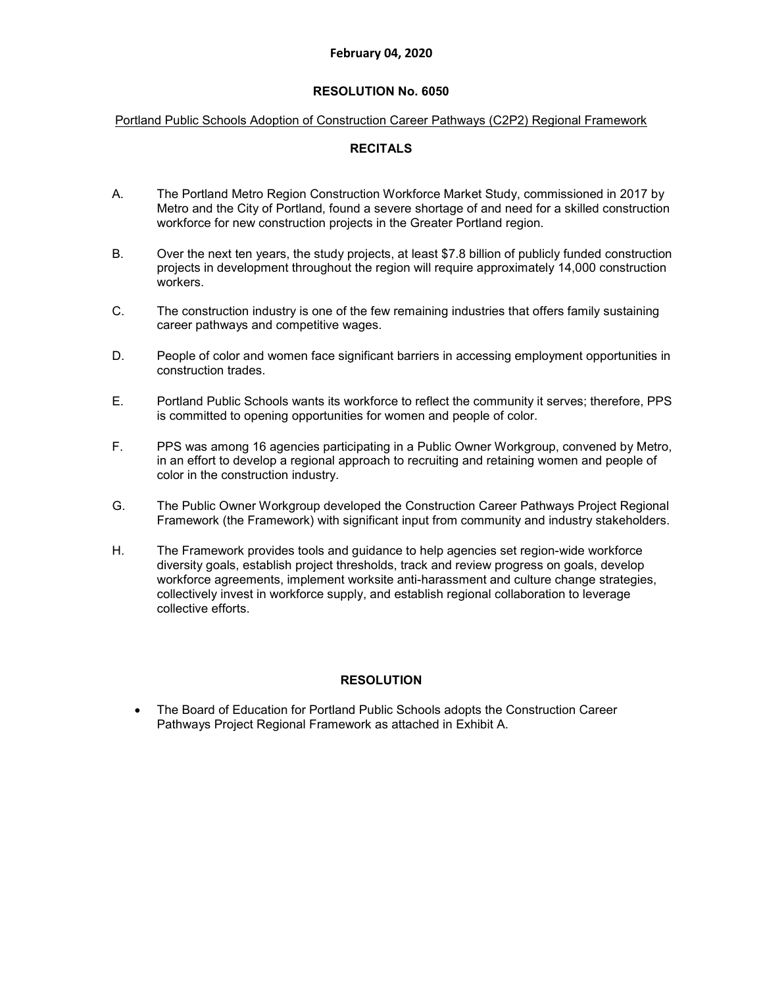#### **February 04, 2020**

#### **RESOLUTION No. 6050**

#### Portland Public Schools Adoption of Construction Career Pathways (C2P2) Regional Framework

#### **RECITALS**

- A. The Portland Metro Region Construction Workforce Market Study, commissioned in 2017 by Metro and the City of Portland, found a severe shortage of and need for a skilled construction workforce for new construction projects in the Greater Portland region.
- B. Over the next ten years, the study projects, at least \$7.8 billion of publicly funded construction projects in development throughout the region will require approximately 14,000 construction workers.
- C. The construction industry is one of the few remaining industries that offers family sustaining career pathways and competitive wages.
- D. People of color and women face significant barriers in accessing employment opportunities in construction trades.
- E. Portland Public Schools wants its workforce to reflect the community it serves; therefore, PPS is committed to opening opportunities for women and people of color.
- F. PPS was among 16 agencies participating in a Public Owner Workgroup, convened by Metro, in an effort to develop a regional approach to recruiting and retaining women and people of color in the construction industry.
- G. The Public Owner Workgroup developed the Construction Career Pathways Project Regional Framework (the Framework) with significant input from community and industry stakeholders.
- H. The Framework provides tools and guidance to help agencies set region-wide workforce diversity goals, establish project thresholds, track and review progress on goals, develop workforce agreements, implement worksite anti-harassment and culture change strategies, collectively invest in workforce supply, and establish regional collaboration to leverage collective efforts.

# **RESOLUTION**

• The Board of Education for Portland Public Schools adopts the Construction Career Pathways Project Regional Framework as attached in Exhibit A.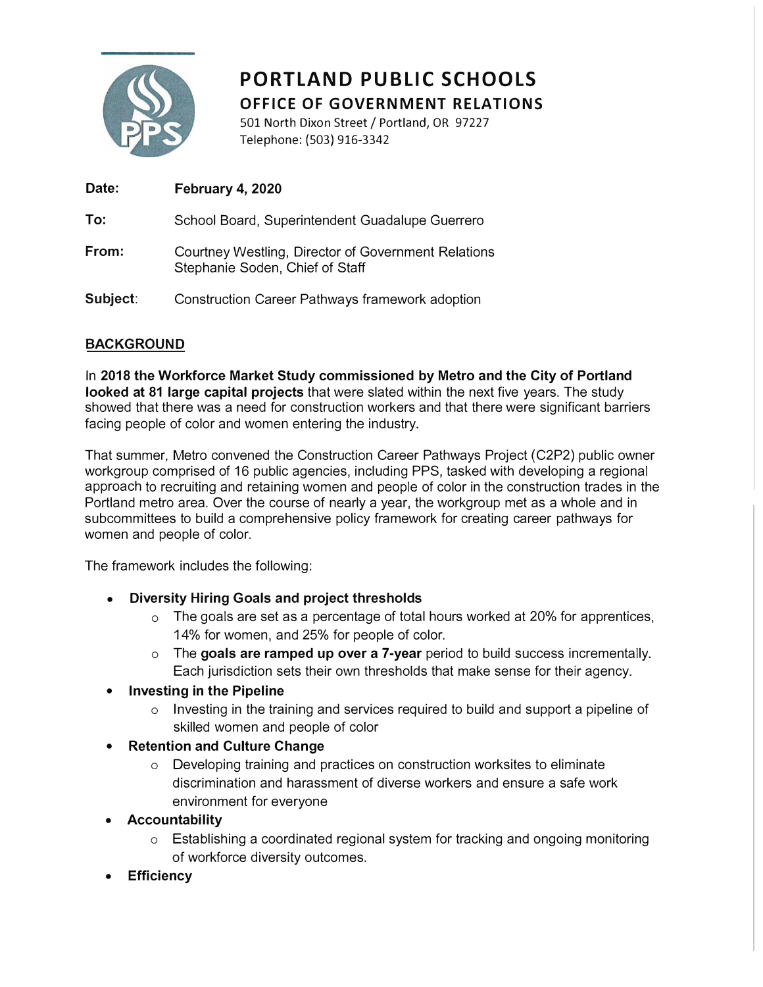

# **PORTLAND PUBLIC SCHOOLS OFFICE OF GOVERNMENT RELATIONS**

501 North Dixon Street/ Portland, OR 97227 Telephone: (503) 916-3342

| Date:    | February 4, 2020                                                                       |
|----------|----------------------------------------------------------------------------------------|
| To:      | School Board, Superintendent Guadalupe Guerrero                                        |
| From:    | Courtney Westling, Director of Government Relations<br>Stephanie Soden, Chief of Staff |
| Subject: | Construction Career Pathways framework adoption                                        |

# **BACKGROUND**

In **2018 the Workforce Market Study commissioned by Metro and the City of Portland looked at 81 large capital projects** that were slated within the next five years. The study showed that there was a need for construction workers and that there were significant barriers facing people of color and women entering the industry.

That summer, Metro convened the Construction Career Pathways Project (C2P2) public owner workgroup comprised of 16 public agencies, including PPS, tasked with developing a regional approach to recruiting and retaining women and people of color in the construction trades in the Portland metro area. Over the course of nearly a year, the workgroup met as a whole and in subcommittees to build a comprehensive policy framework for creating career pathways for women and people of color.

The framework includes the following:

- **• Diversity Hiring Goals and project thresholds**
	- o The goals are set as a percentage of total hours worked at 20% for apprentices, 14% for women, and 25% for people of color.
	- o The **goals are ramped up over a 7-year** period to build success incrementally. Each jurisdiction sets their own thresholds that make sense for their agency.

# **• Investing in the Pipeline**

- $\circ$  Investing in the training and services required to build and support a pipeline of skilled women and people of color
- **• Retention and Culture Change**
	- o Developing training and practices on construction worksites to eliminate discrimination and harassment of diverse workers and ensure a safe work environment for everyone
- **• Accountability**
	- $\circ$  Establishing a coordinated regional system for tracking and ongoing monitoring of workforce diversity outcomes.
- **• Efficiency**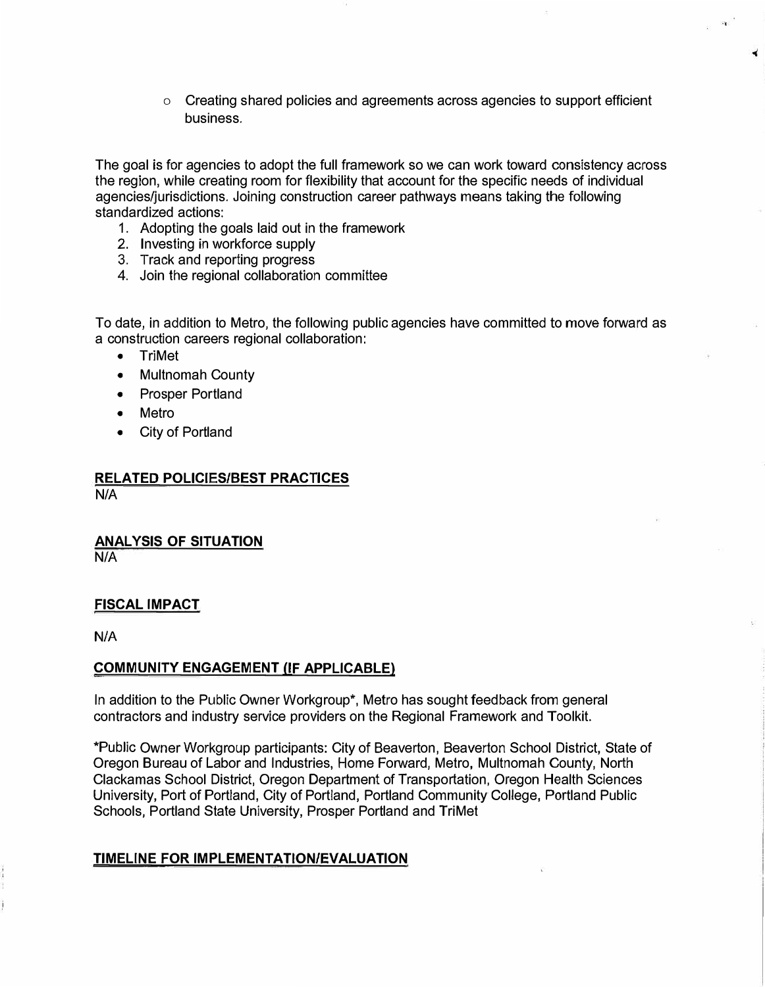<sup>o</sup> Creating shared policies and agreements across agencies to support efficient business.

The goal is for agencies to adopt the full framework so we can work toward consistency across the region, while creating room for flexibility that account for the specific needs of individual agencies/jurisdictions. Joining construction career pathways means taking the following standardized actions:

- 1. Adopting the goals laid out in the framework
- 2. Investing in workforce supply
- 3. Track and reporting progress
- 4. Join the regional collaboration committee

To date, in addition to Metro, the following public agencies have committed to move forward as a construction careers regional collaboration:

- •TriMet
- •Multnomah County
- Prosper Portland
- •Metro
- City of Portland

#### **RELATED POLICIES/BEST PRACTICES**  N/A

**ANALYSIS OF SITUATION** 

N/A

# **FISCAL IMPACT**

N/A

# **COMMUNITY ENGAGEMENT (IF APPLICABLE)**

In addition to the Public Owner Workgroup\*, Metro has sought feedback from general contractors and industry service providers on the Regional Framework and Toolkit.

\*Public Owner Workgroup participants: City of Beaverton, Beaverton School District, State of Oregon Bureau of Labor and Industries, Home Forward, Metro, Multnomah County, North Clackamas School District, Oregon Department of Transportation, Oregon Health Sciences University, Port of Portland, City of Portland, Portland Community College, Portland Public Schools, Portland State University, Prosper Portland and TriMet

# **TIMELINE FOR IMPLEMENTATION/EVALUATION**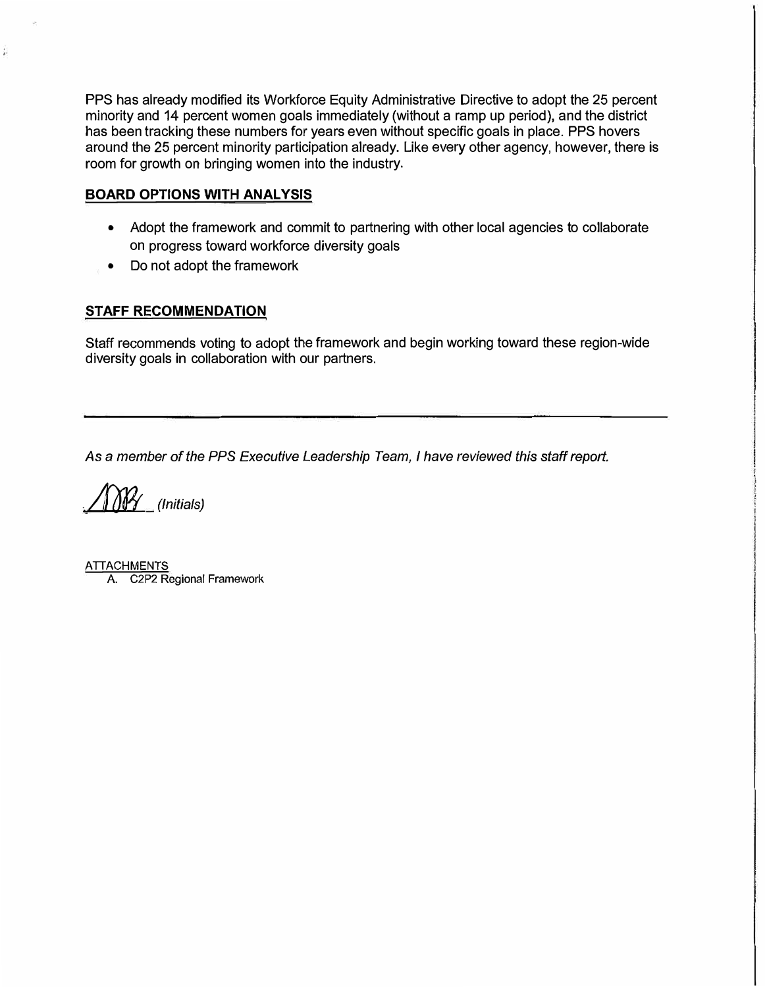PPS has already modified its Workforce Equity Administrative Directive to adopt the 25 percent minority and 14 percent women goals immediately (without a ramp up period), and the district has been tracking these numbers for years even without specific goals in place. PPS hovers around the 25 percent minority participation already. Like *every* other agency, however, there is room for growth on bringing women into the industry.

# **BOARD OPTIONS WITH ANALYSIS**

ţ.

- Adopt the framework and commit to partnering with other local agencies to collaborate on progress toward workforce diversity goals
- Do not adopt the framework

# **STAFF RECOMMENDATION**

Staff recommends voting to adopt the framework and begin working toward these region-wide diversity goals in collaboration with our partners.

*As* a *member of the PPS Executive Leadership Team, I have reviewed this staff report .* 

*. Aolr (Initials)*

**ATTACHMENTS** A. C2P2 Regional Framework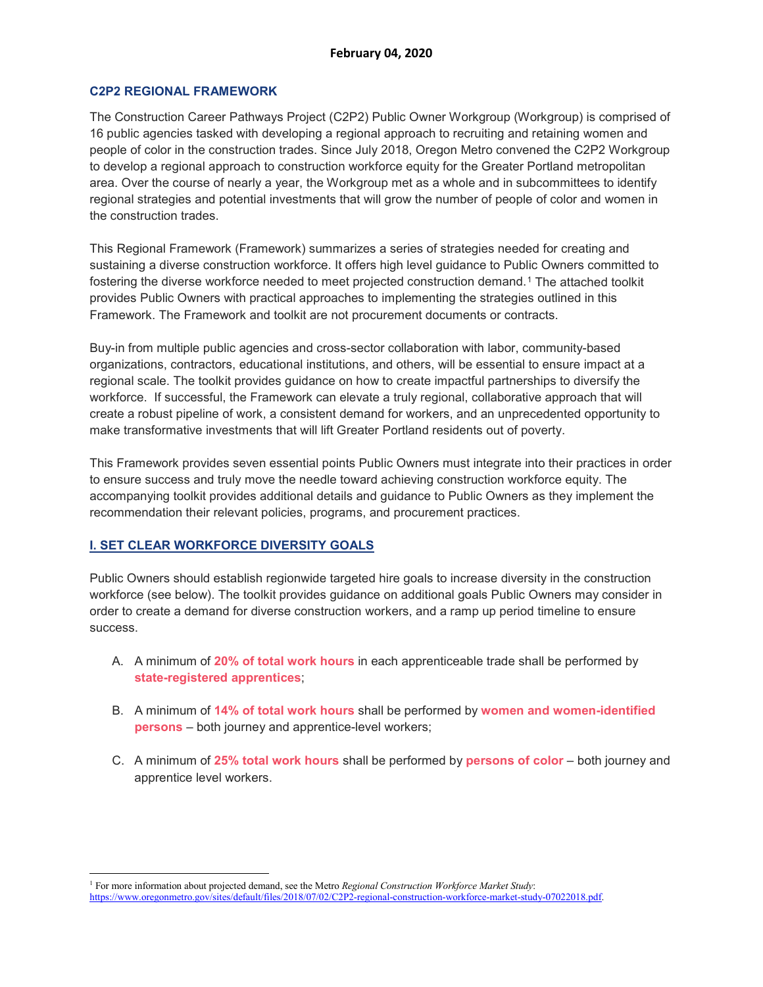#### **C2P2 REGIONAL FRAMEWORK**

The Construction Career Pathways Project (C2P2) Public Owner Workgroup (Workgroup) is comprised of 16 public agencies tasked with developing a regional approach to recruiting and retaining women and people of color in the construction trades. Since July 2018, Oregon Metro convened the C2P2 Workgroup to develop a regional approach to construction workforce equity for the Greater Portland metropolitan area. Over the course of nearly a year, the Workgroup met as a whole and in subcommittees to identify regional strategies and potential investments that will grow the number of people of color and women in the construction trades.

This Regional Framework (Framework) summarizes a series of strategies needed for creating and sustaining a diverse construction workforce. It offers high level guidance to Public Owners committed to fostering the diverse workforce needed to meet projected construction demand.[1](#page-4-0) The attached toolkit provides Public Owners with practical approaches to implementing the strategies outlined in this Framework. The Framework and toolkit are not procurement documents or contracts.

Buy-in from multiple public agencies and cross-sector collaboration with labor, community-based organizations, contractors, educational institutions, and others, will be essential to ensure impact at a regional scale. The toolkit provides guidance on how to create impactful partnerships to diversify the workforce. If successful, the Framework can elevate a truly regional, collaborative approach that will create a robust pipeline of work, a consistent demand for workers, and an unprecedented opportunity to make transformative investments that will lift Greater Portland residents out of poverty.

This Framework provides seven essential points Public Owners must integrate into their practices in order to ensure success and truly move the needle toward achieving construction workforce equity. The accompanying toolkit provides additional details and guidance to Public Owners as they implement the recommendation their relevant policies, programs, and procurement practices.

# **I. SET CLEAR WORKFORCE DIVERSITY GOALS**

Public Owners should establish regionwide targeted hire goals to increase diversity in the construction workforce (see below). The toolkit provides guidance on additional goals Public Owners may consider in order to create a demand for diverse construction workers, and a ramp up period timeline to ensure success.

- A. A minimum of **20% of total work hours** in each apprenticeable trade shall be performed by **state-registered apprentices**;
- B. A minimum of **14% of total work hours** shall be performed by **women and women-identified persons** – both journey and apprentice-level workers;
- C. A minimum of **25% total work hours** shall be performed by **persons of color** both journey and apprentice level workers.

<span id="page-4-0"></span><sup>1</sup> For more information about projected demand, see the Metro *Regional Construction Workforce Market Study*: [https://www.oregonmetro.gov/sites/default/files/2018/07/02/C2P2-regional-construction-workforce-market-study-07022018.pdf.](https://www.oregonmetro.gov/sites/default/files/2018/07/02/C2P2-regional-construction-workforce-market-study-07022018.pdf)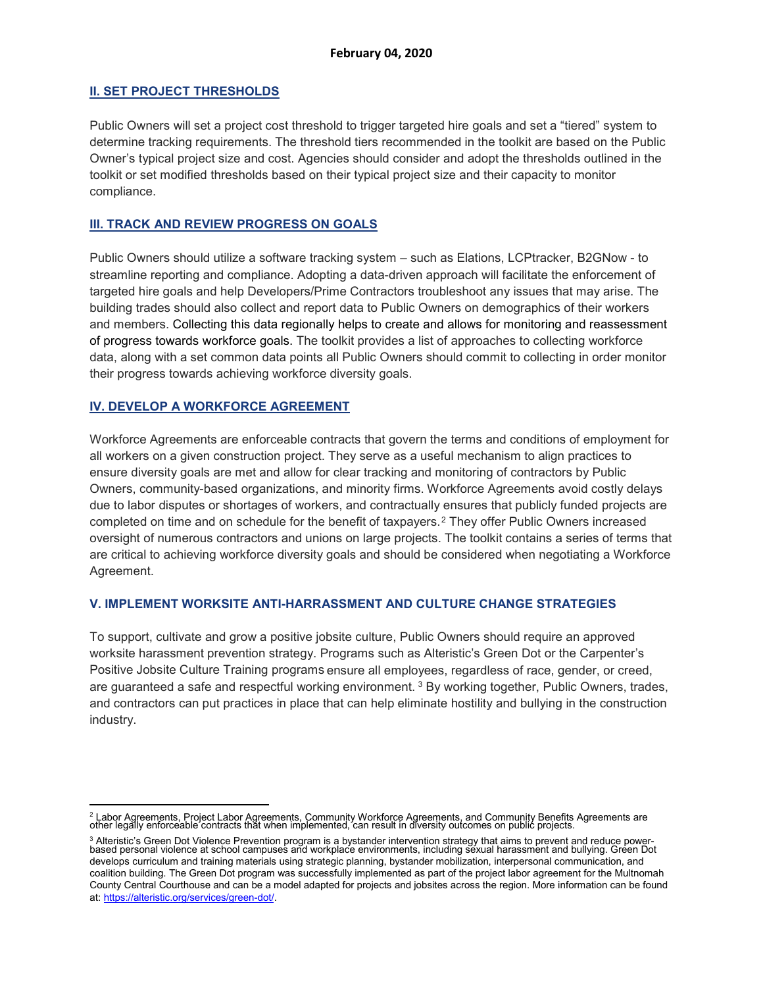# **II. SET PROJECT THRESHOLDS**

Public Owners will set a project cost threshold to trigger targeted hire goals and set a "tiered" system to determine tracking requirements. The threshold tiers recommended in the toolkit are based on the Public Owner's typical project size and cost. Agencies should consider and adopt the thresholds outlined in the toolkit or set modified thresholds based on their typical project size and their capacity to monitor compliance.

# **III. TRACK AND REVIEW PROGRESS ON GOALS**

Public Owners should utilize a software tracking system – such as Elations, LCPtracker, B2GNow - to streamline reporting and compliance. Adopting a data-driven approach will facilitate the enforcement of targeted hire goals and help Developers/Prime Contractors troubleshoot any issues that may arise. The building trades should also collect and report data to Public Owners on demographics of their workers and members. Collecting this data regionally helps to create and allows for monitoring and reassessment of progress towards workforce goals. The toolkit provides a list of approaches to collecting workforce data, along with a set common data points all Public Owners should commit to collecting in order monitor their progress towards achieving workforce diversity goals.

# **IV. DEVELOP A WORKFORCE AGREEMENT**

Workforce Agreements are enforceable contracts that govern the terms and conditions of employment for all workers on a given construction project. They serve as a useful mechanism to align practices to ensure diversity goals are met and allow for clear tracking and monitoring of contractors by Public Owners, community-based organizations, and minority firms. Workforce Agreements avoid costly delays due to labor disputes or shortages of workers, and contractually ensures that publicly funded projects are completed on time and on schedule for the benefit of taxpayers.[2](#page-5-0) They offer Public Owners increased oversight of numerous contractors and unions on large projects. The toolkit contains a series of terms that are critical to achieving workforce diversity goals and should be considered when negotiating a Workforce Agreement.

# **V. IMPLEMENT WORKSITE ANTI-HARRASSMENT AND CULTURE CHANGE STRATEGIES**

To support, cultivate and grow a positive jobsite culture, Public Owners should require an approved worksite harassment prevention strategy. Programs such as Alteristic's Green Dot or the Carpenter's Positive Jobsite Culture Training programs ensure all employees, regardless of race, gender, or creed, are guaranteed a safe and respectful working environment. [3](#page-5-1) By working together, Public Owners, trades, and contractors can put practices in place that can help eliminate hostility and bullying in the construction industry.

<span id="page-5-0"></span><sup>&</sup>lt;sup>2</sup> Labor Agreements, Project Labor Agreements, Community Workforce Agreements, and Community Benefits Agreements are<br>other legally enforceable contracts that when implemented, can result in diversity outcomes on public pr

<span id="page-5-1"></span><sup>&</sup>lt;sup>3</sup> Alteristic's Green Dot Violence Prevention program is a bystander intervention strategy that aims to prevent and reduce power-<br>based personal violence at school campuses and workplace environments, including sexual har develops curriculum and training materials using strategic planning, bystander mobilization, interpersonal communication, and coalition building. The Green Dot program was successfully implemented as part of the project labor agreement for the Multnomah County Central Courthouse and can be a model adapted for projects and jobsites across the region. More information can be found at[: https://alteristic.org/services/green-dot/.](https://alteristic.org/services/green-dot/)